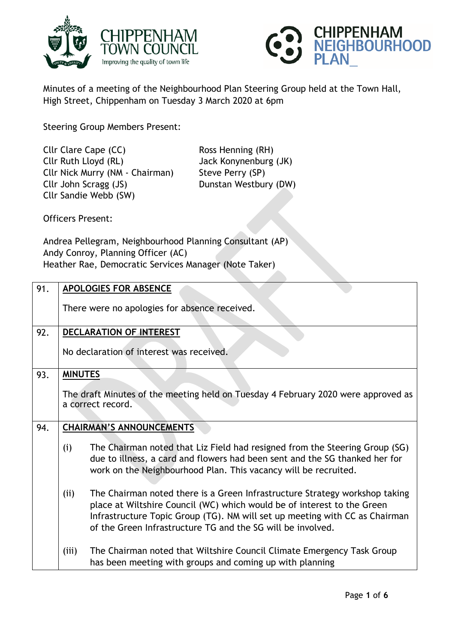



Minutes of a meeting of the Neighbourhood Plan Steering Group held at the Town Hall, High Street, Chippenham on Tuesday 3 March 2020 at 6pm

Steering Group Members Present:

Cllr Clare Cape (CC) Ross Henning (RH) Cllr Ruth Lloyd (RL) Jack Konynenburg (JK) Cllr Nick Murry (NM - Chairman) Steve Perry (SP) Cllr John Scragg (JS) Dunstan Westbury (DW) Cllr Sandie Webb (SW)

Officers Present:

Andrea Pellegram, Neighbourhood Planning Consultant (AP) Andy Conroy, Planning Officer (AC) Heather Rae, Democratic Services Manager (Note Taker)

| 91. | <b>APOLOGIES FOR ABSENCE</b>             |                                                                                                                                                                                                                                                                                                      |  |
|-----|------------------------------------------|------------------------------------------------------------------------------------------------------------------------------------------------------------------------------------------------------------------------------------------------------------------------------------------------------|--|
|     |                                          | There were no apologies for absence received.                                                                                                                                                                                                                                                        |  |
| 92. | DECLARATION OF INTEREST                  |                                                                                                                                                                                                                                                                                                      |  |
|     | No declaration of interest was received. |                                                                                                                                                                                                                                                                                                      |  |
| 93. | <b>MINUTES</b>                           |                                                                                                                                                                                                                                                                                                      |  |
|     |                                          | The draft Minutes of the meeting held on Tuesday 4 February 2020 were approved as<br>a correct record.                                                                                                                                                                                               |  |
| 94. | <b>CHAIRMAN'S ANNOUNCEMENTS</b>          |                                                                                                                                                                                                                                                                                                      |  |
|     | (i)                                      | The Chairman noted that Liz Field had resigned from the Steering Group (SG)<br>due to illness, a card and flowers had been sent and the SG thanked her for<br>work on the Neighbourhood Plan. This vacancy will be recruited.                                                                        |  |
|     | (ii)                                     | The Chairman noted there is a Green Infrastructure Strategy workshop taking<br>place at Wiltshire Council (WC) which would be of interest to the Green<br>Infrastructure Topic Group (TG). NM will set up meeting with CC as Chairman<br>of the Green Infrastructure TG and the SG will be involved. |  |
|     | (iii)                                    | The Chairman noted that Wiltshire Council Climate Emergency Task Group<br>has been meeting with groups and coming up with planning                                                                                                                                                                   |  |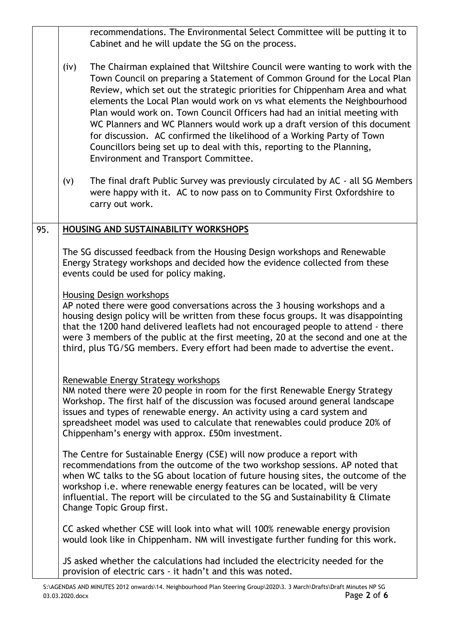|     |      | recommendations. The Environmental Select Committee will be putting it to<br>Cabinet and he will update the SG on the process.                                                                                                                                                                                                                                                                                                                                                                                                                                                                                                                                             |
|-----|------|----------------------------------------------------------------------------------------------------------------------------------------------------------------------------------------------------------------------------------------------------------------------------------------------------------------------------------------------------------------------------------------------------------------------------------------------------------------------------------------------------------------------------------------------------------------------------------------------------------------------------------------------------------------------------|
|     | (iv) | The Chairman explained that Wiltshire Council were wanting to work with the<br>Town Council on preparing a Statement of Common Ground for the Local Plan<br>Review, which set out the strategic priorities for Chippenham Area and what<br>elements the Local Plan would work on vs what elements the Neighbourhood<br>Plan would work on. Town Council Officers had had an initial meeting with<br>WC Planners and WC Planners would work up a draft version of this document<br>for discussion. AC confirmed the likelihood of a Working Party of Town<br>Councillors being set up to deal with this, reporting to the Planning,<br>Environment and Transport Committee. |
|     | (v)  | The final draft Public Survey was previously circulated by AC - all SG Members<br>were happy with it. AC to now pass on to Community First Oxfordshire to<br>carry out work.                                                                                                                                                                                                                                                                                                                                                                                                                                                                                               |
| 95. |      | HOUSING AND SUSTAINABILITY WORKSHOPS                                                                                                                                                                                                                                                                                                                                                                                                                                                                                                                                                                                                                                       |
|     |      | The SG discussed feedback from the Housing Design workshops and Renewable<br>Energy Strategy workshops and decided how the evidence collected from these<br>events could be used for policy making.<br>Housing Design workshops<br>AP noted there were good conversations across the 3 housing workshops and a<br>housing design policy will be written from these focus groups. It was disappointing<br>that the 1200 hand delivered leaflets had not encouraged people to attend - there                                                                                                                                                                                 |
|     |      | were 3 members of the public at the first meeting, 20 at the second and one at the<br>third, plus TG/SG members. Every effort had been made to advertise the event.<br>Renewable Energy Strategy workshops                                                                                                                                                                                                                                                                                                                                                                                                                                                                 |
|     |      | NM noted there were 20 people in room for the first Renewable Energy Strategy<br>Workshop. The first half of the discussion was focused around general landscape<br>issues and types of renewable energy. An activity using a card system and<br>spreadsheet model was used to calculate that renewables could produce 20% of<br>Chippenham's energy with approx. E50m investment.                                                                                                                                                                                                                                                                                         |
|     |      | The Centre for Sustainable Energy (CSE) will now produce a report with<br>recommendations from the outcome of the two workshop sessions. AP noted that<br>when WC talks to the SG about location of future housing sites, the outcome of the<br>workshop i.e. where renewable energy features can be located, will be very<br>influential. The report will be circulated to the SG and Sustainability & Climate<br>Change Topic Group first.                                                                                                                                                                                                                               |
|     |      | CC asked whether CSE will look into what will 100% renewable energy provision<br>would look like in Chippenham. NM will investigate further funding for this work.                                                                                                                                                                                                                                                                                                                                                                                                                                                                                                         |
|     |      | JS asked whether the calculations had included the electricity needed for the<br>provision of electric cars - it hadn't and this was noted.                                                                                                                                                                                                                                                                                                                                                                                                                                                                                                                                |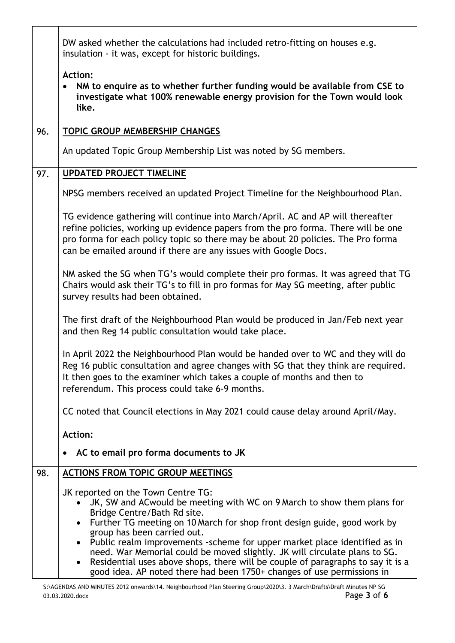|     | DW asked whether the calculations had included retro-fitting on houses e.g.<br>insulation - it was, except for historic buildings.                                                                                                                                                                                          |  |  |
|-----|-----------------------------------------------------------------------------------------------------------------------------------------------------------------------------------------------------------------------------------------------------------------------------------------------------------------------------|--|--|
|     | <b>Action:</b><br>NM to enquire as to whether further funding would be available from CSE to<br>$\bullet$<br>investigate what 100% renewable energy provision for the Town would look<br>like.                                                                                                                              |  |  |
| 96. | TOPIC GROUP MEMBERSHIP CHANGES                                                                                                                                                                                                                                                                                              |  |  |
|     | An updated Topic Group Membership List was noted by SG members.                                                                                                                                                                                                                                                             |  |  |
| 97. | <b>UPDATED PROJECT TIMELINE</b>                                                                                                                                                                                                                                                                                             |  |  |
|     | NPSG members received an updated Project Timeline for the Neighbourhood Plan.                                                                                                                                                                                                                                               |  |  |
|     | TG evidence gathering will continue into March/April. AC and AP will thereafter<br>refine policies, working up evidence papers from the pro forma. There will be one<br>pro forma for each policy topic so there may be about 20 policies. The Pro forma<br>can be emailed around if there are any issues with Google Docs. |  |  |
|     | NM asked the SG when TG's would complete their pro formas. It was agreed that TG<br>Chairs would ask their TG's to fill in pro formas for May SG meeting, after public<br>survey results had been obtained.                                                                                                                 |  |  |
|     | The first draft of the Neighbourhood Plan would be produced in Jan/Feb next year<br>and then Reg 14 public consultation would take place.                                                                                                                                                                                   |  |  |
|     | In April 2022 the Neighbourhood Plan would be handed over to WC and they will do<br>Reg 16 public consultation and agree changes with SG that they think are required.<br>It then goes to the examiner which takes a couple of months and then to<br>referendum. This process could take 6-9 months.                        |  |  |
|     | CC noted that Council elections in May 2021 could cause delay around April/May.                                                                                                                                                                                                                                             |  |  |
|     | <b>Action:</b>                                                                                                                                                                                                                                                                                                              |  |  |
|     | AC to email pro forma documents to JK<br>$\bullet$                                                                                                                                                                                                                                                                          |  |  |
| 98. | <b>ACTIONS FROM TOPIC GROUP MEETINGS</b>                                                                                                                                                                                                                                                                                    |  |  |
|     | JK reported on the Town Centre TG:                                                                                                                                                                                                                                                                                          |  |  |
|     | JK, SW and AC would be meeting with WC on 9 March to show them plans for<br>Bridge Centre/Bath Rd site.                                                                                                                                                                                                                     |  |  |
|     | Further TG meeting on 10 March for shop front design guide, good work by<br>group has been carried out.                                                                                                                                                                                                                     |  |  |
|     | Public realm improvements -scheme for upper market place identified as in<br>need. War Memorial could be moved slightly. JK will circulate plans to SG.<br>Residential uses above shops, there will be couple of paragraphs to say it is a<br>good idea. AP noted there had been 1750+ changes of use permissions in        |  |  |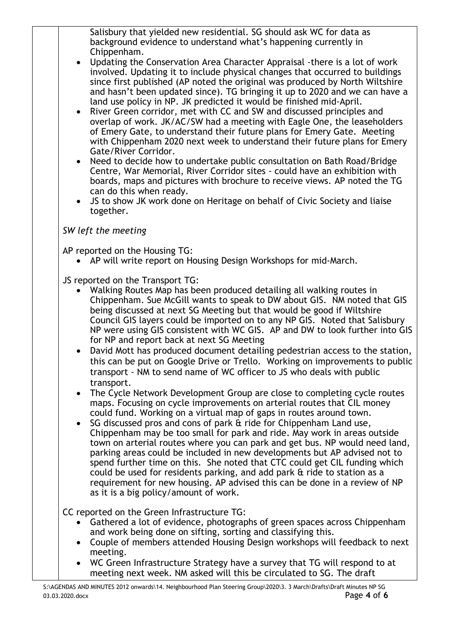Salisbury that yielded new residential. SG should ask WC for data as background evidence to understand what's happening currently in Chippenham.

- Updating the Conservation Area Character Appraisal -there is a lot of work involved. Updating it to include physical changes that occurred to buildings since first published (AP noted the original was produced by North Wiltshire and hasn't been updated since). TG bringing it up to 2020 and we can have a land use policy in NP. JK predicted it would be finished mid-April.
- River Green corridor, met with CC and SW and discussed principles and overlap of work. JK/AC/SW had a meeting with Eagle One, the leaseholders of Emery Gate, to understand their future plans for Emery Gate. Meeting with Chippenham 2020 next week to understand their future plans for Emery Gate/River Corridor.
- Need to decide how to undertake public consultation on Bath Road/Bridge Centre, War Memorial, River Corridor sites - could have an exhibition with boards, maps and pictures with brochure to receive views. AP noted the TG can do this when ready.
- JS to show JK work done on Heritage on behalf of Civic Society and liaise together.

## *SW left the meeting*

AP reported on the Housing TG:

AP will write report on Housing Design Workshops for mid-March.

JS reported on the Transport TG:

- Walking Routes Map has been produced detailing all walking routes in Chippenham. Sue McGill wants to speak to DW about GIS. NM noted that GIS being discussed at next SG Meeting but that would be good if Wiltshire Council GIS layers could be imported on to any NP GIS. Noted that Salisbury NP were using GIS consistent with WC GIS. AP and DW to look further into GIS for NP and report back at next SG Meeting
- David Mott has produced document detailing pedestrian access to the station, this can be put on Google Drive or Trello. Working on improvements to public transport - NM to send name of WC officer to JS who deals with public transport.
- The Cycle Network Development Group are close to completing cycle routes maps. Focusing on cycle improvements on arterial routes that CIL money could fund. Working on a virtual map of gaps in routes around town.
- SG discussed pros and cons of park & ride for Chippenham Land use, Chippenham may be too small for park and ride. May work in areas outside town on arterial routes where you can park and get bus. NP would need land, parking areas could be included in new developments but AP advised not to spend further time on this. She noted that CTC could get CIL funding which could be used for residents parking, and add park & ride to station as a requirement for new housing. AP advised this can be done in a review of NP as it is a big policy/amount of work.

CC reported on the Green Infrastructure TG:

- Gathered a lot of evidence, photographs of green spaces across Chippenham and work being done on sifting, sorting and classifying this.
- Couple of members attended Housing Design workshops will feedback to next meeting.
- WC Green Infrastructure Strategy have a survey that TG will respond to at meeting next week. NM asked will this be circulated to SG. The draft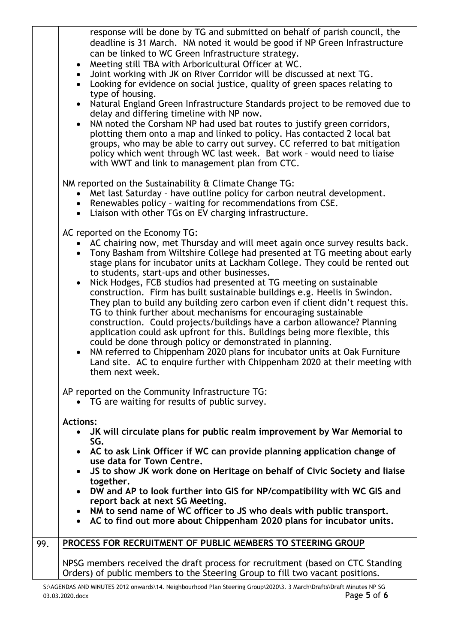response will be done by TG and submitted on behalf of parish council, the deadline is 31 March. NM noted it would be good if NP Green Infrastructure can be linked to WC Green Infrastructure strategy.

- Meeting still TBA with Arboricultural Officer at WC.
- Joint working with JK on River Corridor will be discussed at next TG.
- Looking for evidence on social justice, quality of green spaces relating to type of housing.
- Natural England Green Infrastructure Standards project to be removed due to delay and differing timeline with NP now.
- NM noted the Corsham NP had used bat routes to justify green corridors, plotting them onto a map and linked to policy. Has contacted 2 local bat groups, who may be able to carry out survey. CC referred to bat mitigation policy which went through WC last week. Bat work – would need to liaise with WWT and link to management plan from CTC.

NM reported on the Sustainability & Climate Change TG:

- Met last Saturday have outline policy for carbon neutral development.
- Renewables policy waiting for recommendations from CSE.
- Liaison with other TGs on EV charging infrastructure.

AC reported on the Economy TG:

- AC chairing now, met Thursday and will meet again once survey results back.
- Tony Basham from Wiltshire College had presented at TG meeting about early stage plans for incubator units at Lackham College. They could be rented out to students, start-ups and other businesses.
- Nick Hodges, FCB studios had presented at TG meeting on sustainable construction. Firm has built sustainable buildings e.g. Heelis in Swindon. They plan to build any building zero carbon even if client didn't request this. TG to think further about mechanisms for encouraging sustainable construction. Could projects/buildings have a carbon allowance? Planning application could ask upfront for this. Buildings being more flexible, this could be done through policy or demonstrated in planning.
- NM referred to Chippenham 2020 plans for incubator units at Oak Furniture Land site. AC to enquire further with Chippenham 2020 at their meeting with them next week.

AP reported on the Community Infrastructure TG:

- TG are waiting for results of public survey.
- **Actions:**
	- **JK will circulate plans for public realm improvement by War Memorial to SG.**
	- **AC to ask Link Officer if WC can provide planning application change of use data for Town Centre.**
	- **JS to show JK work done on Heritage on behalf of Civic Society and liaise together.**
	- **DW and AP to look further into GIS for NP/compatibility with WC GIS and report back at next SG Meeting.**
	- **NM to send name of WC officer to JS who deals with public transport.**
	- **AC to find out more about Chippenham 2020 plans for incubator units.**

## 99. **PROCESS FOR RECRUITMENT OF PUBLIC MEMBERS TO STEERING GROUP**

NPSG members received the draft process for recruitment (based on CTC Standing Orders) of public members to the Steering Group to fill two vacant positions.